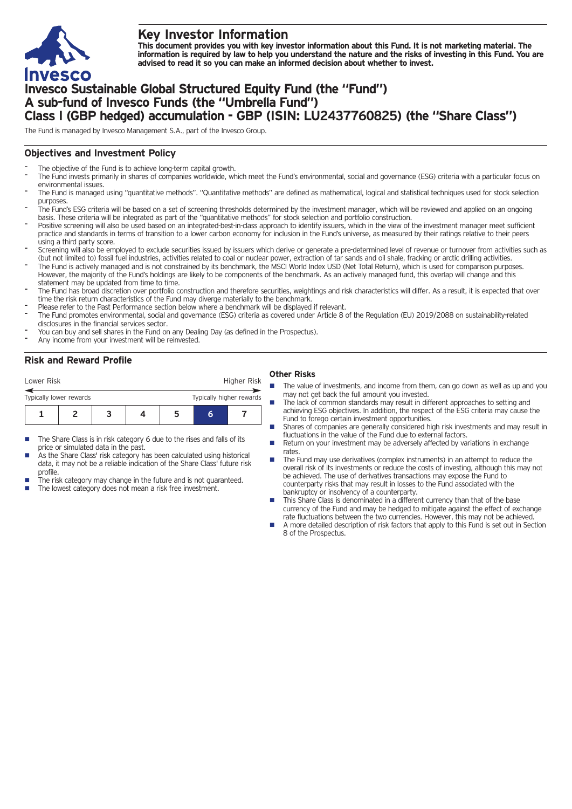

# **Key Investor Information**

This document provides you with key investor information about this Fund. It is not marketing material. The information is required by law to help you understand the nature and the risks of investing in this Fund. You are **advised to read it so you can make an informed decision about whether to invest.**

# **Invesco Sustainable Global Structured Equity Fund (the "Fund") A sub-fund of Invesco Funds (the "Umbrella Fund") Class I (GBP hedged) accumulation - GBP (ISIN: LU2437760825) (the "Share Class")**

The Fund is managed by Invesco Management S.A., part of the Invesco Group.

#### **Objectives and Investment Policy**

- The objective of the Fund is to achieve long-term capital growth.
- The Fund invests primarily in shares of companies worldwide, which meet the Fund's environmental, social and governance (ESG) criteria with a particular focus on environmental issues.
- The Fund is managed using "quantitative methods". "Quantitative methods" are defined as mathematical, logical and statistical techniques used for stock selection purposes
- The Fund's ESG criteria will be based on a set of screening thresholds determined by the investment manager, which will be reviewed and applied on an ongoing basis. These criteria will be integrated as part of the "quantitative methods" for stock selection and portfolio construction.
- Positive screening will also be used based on an integrated-best-in-class approach to identify issuers, which in the view of the investment manager meet sufficient practice and standards in terms of transition to a lower carbon economy for inclusion in the Fund's universe, as measured by their ratings relative to their peers using a third party score.
- Screening will also be employed to exclude securities issued by issuers which derive or generate a pre-determined level of revenue or turnover from activities such as (but not limited to) fossil fuel industries, activities related to coal or nuclear power, extraction of tar sands and oil shale, fracking or arctic drilling activities.
- The Fund is actively managed and is not constrained by its benchmark, the MSCI World Index USD (Net Total Return), which is used for comparison purposes. However, the majority of the Fund's holdings are likely to be components of the benchmark. As an actively managed fund, this overlap will change and this statement may be updated from time to time.
- The Fund has broad discretion over portfolio construction and therefore securities, weightings and risk characteristics will differ. As a result, it is expected that over time the risk return characteristics of the Fund may diverge materially to the benchmark.
- Please refer to the Past Performance section below where a benchmark will be displayed if relevant.
- The Fund promotes environmental, social and governance (ESG) criteria as covered under Article 8 of the Regulation (EU) 2019/2088 on sustainability-related disclosures in the financial services sector.
- You can buy and sell shares in the Fund on any Dealing Day (as defined in the Prospectus).
- Any income from your investment will be reinvested.

## **Risk and Reward Profile**

| Lower Risk                                          |  |  | Higher Risk |  |  |  |  |  |
|-----------------------------------------------------|--|--|-------------|--|--|--|--|--|
| Typically lower rewards<br>Typically higher rewards |  |  |             |  |  |  |  |  |
|                                                     |  |  |             |  |  |  |  |  |

- The Share Class is in risk category 6 due to the rises and falls of its price or simulated data in the past.
- As the Share Class' risk category has been calculated using historical data, it may not be a reliable indication of the Share Class' future risk profile.
- The risk category may change in the future and is not guaranteed.
- The lowest category does not mean a risk free investment.

## **Other Risks**

- The value of investments, and income from them, can go down as well as up and you may not get back the full amount you invested.
- The lack of common standards may result in different approaches to setting and achieving ESG objectives. In addition, the respect of the ESG criteria may cause the Fund to forego certain investment opportunities.
- Shares of companies are generally considered high risk investments and may result in fluctuations in the value of the Fund due to external factors.
- n Return on your investment may be adversely affected by variations in exchange rates.
- The Fund may use derivatives (complex instruments) in an attempt to reduce the overall risk of its investments or reduce the costs of investing, although this may not be achieved. The use of derivatives transactions may expose the Fund to counterparty risks that may result in losses to the Fund associated with the bankruptcy or insolvency of a counterparty.
- This Share Class is denominated in a different currency than that of the base currency of the Fund and may be hedged to mitigate against the effect of exchange rate fluctuations between the two currencies. However, this may not be achieved.
- A more detailed description of risk factors that apply to this Fund is set out in Section 8 of the Prospectus.